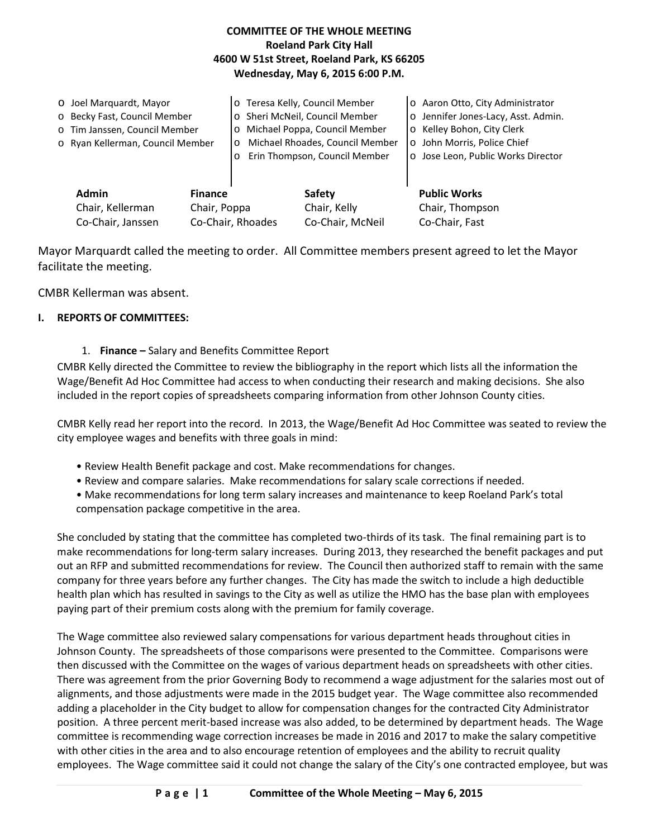# **COMMITTEE OF THE WHOLE MEETING Roeland Park City Hall 4600 W 51st Street, Roeland Park, KS 66205 Wednesday, May 6, 2015 6:00 P.M.**

|  | O Joel Marquardt, Mayor<br>o Becky Fast, Council Member<br>o Tim Janssen, Council Member<br>o Ryan Kellerman, Council Member<br><b>Admin</b><br><b>Finance</b><br>Chair, Kellerman<br>Chair, Poppa<br>Co-Chair, Janssen |  | o Teresa Kelly, Council Member<br>o Sheri McNeil, Council Member<br>Michael Poppa, Council Member<br>$\circ$<br>Michael Rhoades, Council Member<br>$\circ$<br>Erin Thompson, Council Member<br>O |                                            | o Aaron Otto, City Administrator<br>o Jennifer Jones-Lacy, Asst. Admin.<br>o Kelley Bohon, City Clerk<br>o John Morris, Police Chief<br>o Jose Leon, Public Works Director |
|--|-------------------------------------------------------------------------------------------------------------------------------------------------------------------------------------------------------------------------|--|--------------------------------------------------------------------------------------------------------------------------------------------------------------------------------------------------|--------------------------------------------|----------------------------------------------------------------------------------------------------------------------------------------------------------------------------|
|  |                                                                                                                                                                                                                         |  | Co-Chair, Rhoades                                                                                                                                                                                | Safety<br>Chair, Kelly<br>Co-Chair, McNeil | <b>Public Works</b><br>Chair, Thompson<br>Co-Chair, Fast                                                                                                                   |

Mayor Marquardt called the meeting to order. All Committee members present agreed to let the Mayor facilitate the meeting.

CMBR Kellerman was absent.

## **I. REPORTS OF COMMITTEES:**

## 1. **Finance –** Salary and Benefits Committee Report

CMBR Kelly directed the Committee to review the bibliography in the report which lists all the information the Wage/Benefit Ad Hoc Committee had access to when conducting their research and making decisions. She also included in the report copies of spreadsheets comparing information from other Johnson County cities.

CMBR Kelly read her report into the record. In 2013, the Wage/Benefit Ad Hoc Committee was seated to review the city employee wages and benefits with three goals in mind:

- Review Health Benefit package and cost. Make recommendations for changes.
- Review and compare salaries. Make recommendations for salary scale corrections if needed.
- Make recommendations for long term salary increases and maintenance to keep Roeland Park's total compensation package competitive in the area.

She concluded by stating that the committee has completed two-thirds of its task. The final remaining part is to make recommendations for long-term salary increases. During 2013, they researched the benefit packages and put out an RFP and submitted recommendations for review. The Council then authorized staff to remain with the same company for three years before any further changes. The City has made the switch to include a high deductible health plan which has resulted in savings to the City as well as utilize the HMO has the base plan with employees paying part of their premium costs along with the premium for family coverage.

The Wage committee also reviewed salary compensations for various department heads throughout cities in Johnson County. The spreadsheets of those comparisons were presented to the Committee. Comparisons were then discussed with the Committee on the wages of various department heads on spreadsheets with other cities. There was agreement from the prior Governing Body to recommend a wage adjustment for the salaries most out of alignments, and those adjustments were made in the 2015 budget year. The Wage committee also recommended adding a placeholder in the City budget to allow for compensation changes for the contracted City Administrator position. A three percent merit-based increase was also added, to be determined by department heads. The Wage committee is recommending wage correction increases be made in 2016 and 2017 to make the salary competitive with other cities in the area and to also encourage retention of employees and the ability to recruit quality employees. The Wage committee said it could not change the salary of the City's one contracted employee, but was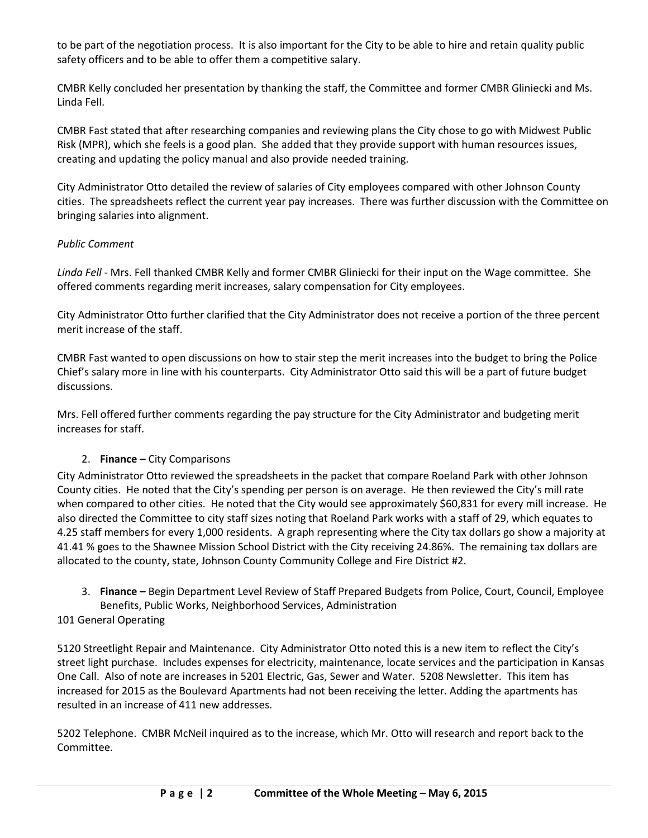to be part of the negotiation process. It is also important for the City to be able to hire and retain quality public safety officers and to be able to offer them a competitive salary.

CMBR Kelly concluded her presentation by thanking the staff, the Committee and former CMBR Gliniecki and Ms. Linda Fell.

CMBR Fast stated that after researching companies and reviewing plans the City chose to go with Midwest Public Risk (MPR), which she feels is a good plan. She added that they provide support with human resources issues, creating and updating the policy manual and also provide needed training.

City Administrator Otto detailed the review of salaries of City employees compared with other Johnson County cities. The spreadsheets reflect the current year pay increases. There was further discussion with the Committee on bringing salaries into alignment.

# *Public Comment*

*Linda Fell* - Mrs. Fell thanked CMBR Kelly and former CMBR Gliniecki for their input on the Wage committee. She offered comments regarding merit increases, salary compensation for City employees.

City Administrator Otto further clarified that the City Administrator does not receive a portion of the three percent merit increase of the staff.

CMBR Fast wanted to open discussions on how to stair step the merit increases into the budget to bring the Police Chief's salary more in line with his counterparts. City Administrator Otto said this will be a part of future budget discussions.

Mrs. Fell offered further comments regarding the pay structure for the City Administrator and budgeting merit increases for staff.

# 2. **Finance –** City Comparisons

City Administrator Otto reviewed the spreadsheets in the packet that compare Roeland Park with other Johnson County cities. He noted that the City's spending per person is on average. He then reviewed the City's mill rate when compared to other cities. He noted that the City would see approximately \$60,831 for every mill increase. He also directed the Committee to city staff sizes noting that Roeland Park works with a staff of 29, which equates to 4.25 staff members for every 1,000 residents. A graph representing where the City tax dollars go show a majority at 41.41 % goes to the Shawnee Mission School District with the City receiving 24.86%. The remaining tax dollars are allocated to the county, state, Johnson County Community College and Fire District #2.

3. **Finance –** Begin Department Level Review of Staff Prepared Budgets from Police, Court, Council, Employee Benefits, Public Works, Neighborhood Services, Administration

# 101 General Operating

5120 Streetlight Repair and Maintenance. City Administrator Otto noted this is a new item to reflect the City's street light purchase. Includes expenses for electricity, maintenance, locate services and the participation in Kansas One Call. Also of note are increases in 5201 Electric, Gas, Sewer and Water. 5208 Newsletter. This item has increased for 2015 as the Boulevard Apartments had not been receiving the letter. Adding the apartments has resulted in an increase of 411 new addresses.

5202 Telephone. CMBR McNeil inquired as to the increase, which Mr. Otto will research and report back to the Committee.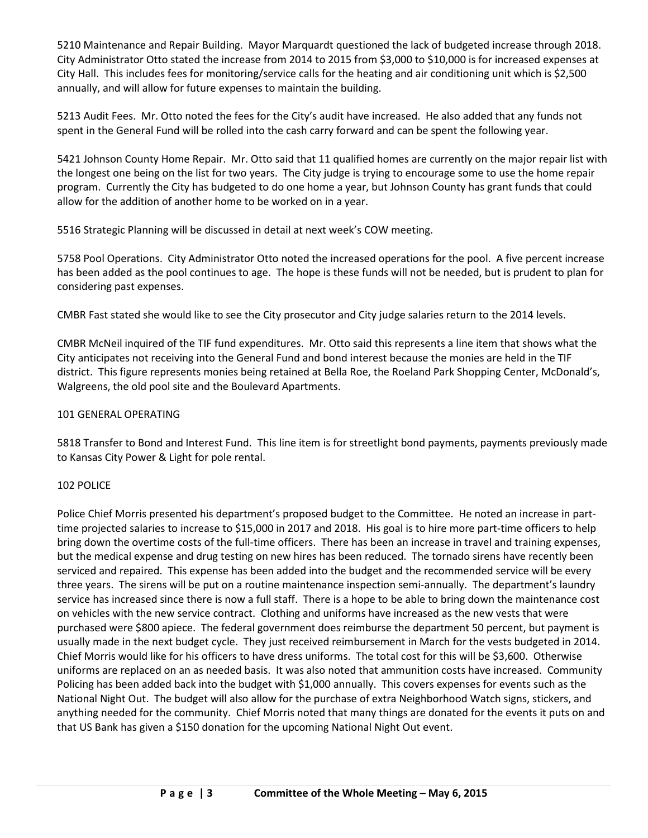5210 Maintenance and Repair Building. Mayor Marquardt questioned the lack of budgeted increase through 2018. City Administrator Otto stated the increase from 2014 to 2015 from \$3,000 to \$10,000 is for increased expenses at City Hall. This includes fees for monitoring/service calls for the heating and air conditioning unit which is \$2,500 annually, and will allow for future expenses to maintain the building.

5213 Audit Fees. Mr. Otto noted the fees for the City's audit have increased. He also added that any funds not spent in the General Fund will be rolled into the cash carry forward and can be spent the following year.

5421 Johnson County Home Repair. Mr. Otto said that 11 qualified homes are currently on the major repair list with the longest one being on the list for two years. The City judge is trying to encourage some to use the home repair program. Currently the City has budgeted to do one home a year, but Johnson County has grant funds that could allow for the addition of another home to be worked on in a year.

5516 Strategic Planning will be discussed in detail at next week's COW meeting.

5758 Pool Operations. City Administrator Otto noted the increased operations for the pool. A five percent increase has been added as the pool continues to age. The hope is these funds will not be needed, but is prudent to plan for considering past expenses.

CMBR Fast stated she would like to see the City prosecutor and City judge salaries return to the 2014 levels.

CMBR McNeil inquired of the TIF fund expenditures. Mr. Otto said this represents a line item that shows what the City anticipates not receiving into the General Fund and bond interest because the monies are held in the TIF district. This figure represents monies being retained at Bella Roe, the Roeland Park Shopping Center, McDonald's, Walgreens, the old pool site and the Boulevard Apartments.

# 101 GENERAL OPERATING

5818 Transfer to Bond and Interest Fund. This line item is for streetlight bond payments, payments previously made to Kansas City Power & Light for pole rental.

# 102 POLICE

Police Chief Morris presented his department's proposed budget to the Committee. He noted an increase in parttime projected salaries to increase to \$15,000 in 2017 and 2018. His goal is to hire more part-time officers to help bring down the overtime costs of the full-time officers. There has been an increase in travel and training expenses, but the medical expense and drug testing on new hires has been reduced. The tornado sirens have recently been serviced and repaired. This expense has been added into the budget and the recommended service will be every three years. The sirens will be put on a routine maintenance inspection semi-annually. The department's laundry service has increased since there is now a full staff. There is a hope to be able to bring down the maintenance cost on vehicles with the new service contract. Clothing and uniforms have increased as the new vests that were purchased were \$800 apiece. The federal government does reimburse the department 50 percent, but payment is usually made in the next budget cycle. They just received reimbursement in March for the vests budgeted in 2014. Chief Morris would like for his officers to have dress uniforms. The total cost for this will be \$3,600. Otherwise uniforms are replaced on an as needed basis. It was also noted that ammunition costs have increased. Community Policing has been added back into the budget with \$1,000 annually. This covers expenses for events such as the National Night Out. The budget will also allow for the purchase of extra Neighborhood Watch signs, stickers, and anything needed for the community. Chief Morris noted that many things are donated for the events it puts on and that US Bank has given a \$150 donation for the upcoming National Night Out event.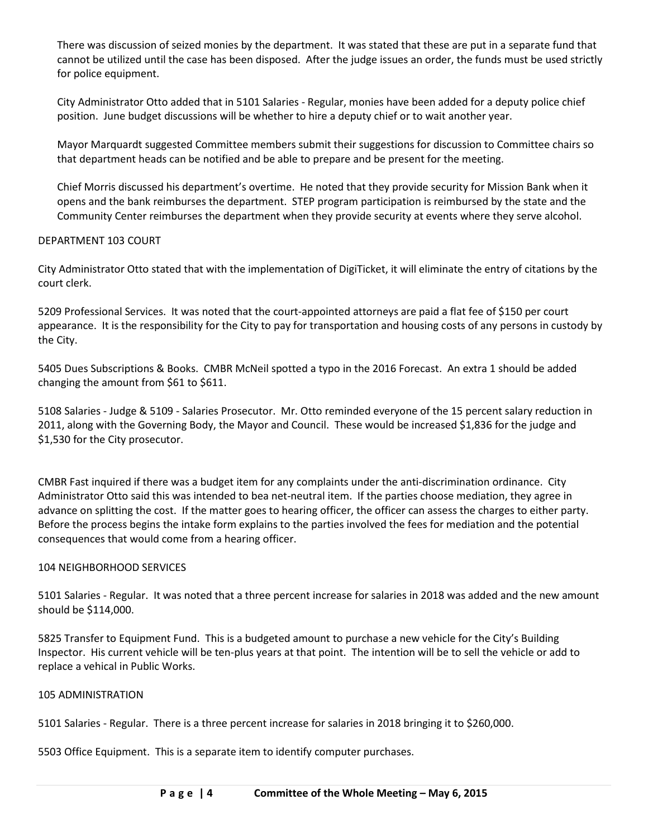There was discussion of seized monies by the department. It was stated that these are put in a separate fund that cannot be utilized until the case has been disposed. After the judge issues an order, the funds must be used strictly for police equipment.

City Administrator Otto added that in 5101 Salaries - Regular, monies have been added for a deputy police chief position. June budget discussions will be whether to hire a deputy chief or to wait another year.

Mayor Marquardt suggested Committee members submit their suggestions for discussion to Committee chairs so that department heads can be notified and be able to prepare and be present for the meeting.

Chief Morris discussed his department's overtime. He noted that they provide security for Mission Bank when it opens and the bank reimburses the department. STEP program participation is reimbursed by the state and the Community Center reimburses the department when they provide security at events where they serve alcohol.

## DEPARTMENT 103 COURT

City Administrator Otto stated that with the implementation of DigiTicket, it will eliminate the entry of citations by the court clerk.

5209 Professional Services. It was noted that the court-appointed attorneys are paid a flat fee of \$150 per court appearance. It is the responsibility for the City to pay for transportation and housing costs of any persons in custody by the City.

5405 Dues Subscriptions & Books. CMBR McNeil spotted a typo in the 2016 Forecast. An extra 1 should be added changing the amount from \$61 to \$611.

5108 Salaries - Judge & 5109 - Salaries Prosecutor. Mr. Otto reminded everyone of the 15 percent salary reduction in 2011, along with the Governing Body, the Mayor and Council. These would be increased \$1,836 for the judge and \$1,530 for the City prosecutor.

CMBR Fast inquired if there was a budget item for any complaints under the anti-discrimination ordinance. City Administrator Otto said this was intended to bea net-neutral item. If the parties choose mediation, they agree in advance on splitting the cost. If the matter goes to hearing officer, the officer can assess the charges to either party. Before the process begins the intake form explains to the parties involved the fees for mediation and the potential consequences that would come from a hearing officer.

### 104 NEIGHBORHOOD SERVICES

5101 Salaries - Regular. It was noted that a three percent increase for salaries in 2018 was added and the new amount should be \$114,000.

5825 Transfer to Equipment Fund. This is a budgeted amount to purchase a new vehicle for the City's Building Inspector. His current vehicle will be ten-plus years at that point. The intention will be to sell the vehicle or add to replace a vehical in Public Works.

### 105 ADMINISTRATION

5101 Salaries - Regular. There is a three percent increase for salaries in 2018 bringing it to \$260,000.

5503 Office Equipment. This is a separate item to identify computer purchases.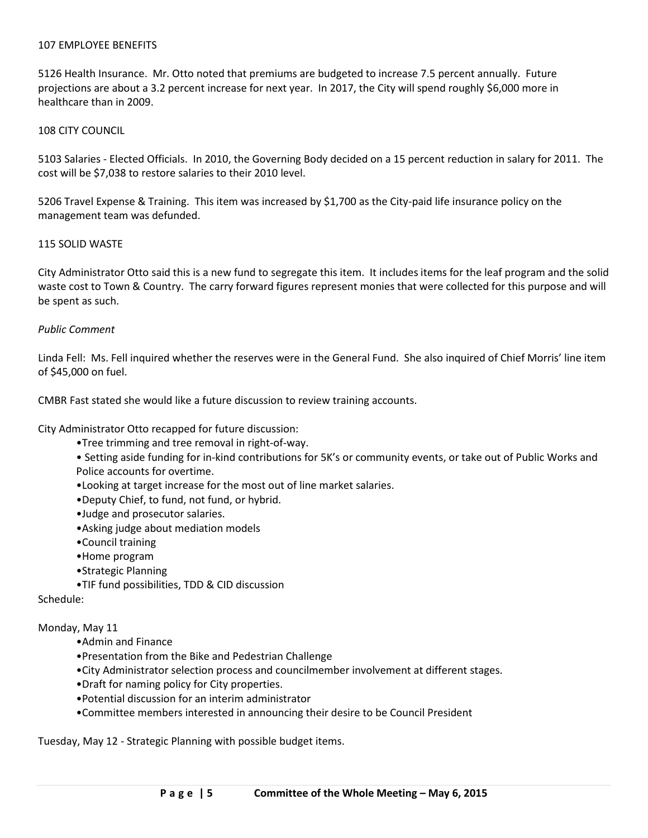#### 107 EMPLOYEE BENEFITS

5126 Health Insurance. Mr. Otto noted that premiums are budgeted to increase 7.5 percent annually. Future projections are about a 3.2 percent increase for next year. In 2017, the City will spend roughly \$6,000 more in healthcare than in 2009.

#### 108 CITY COUNCIL

5103 Salaries - Elected Officials. In 2010, the Governing Body decided on a 15 percent reduction in salary for 2011. The cost will be \$7,038 to restore salaries to their 2010 level.

5206 Travel Expense & Training. This item was increased by \$1,700 as the City-paid life insurance policy on the management team was defunded.

#### 115 SOLID WASTE

City Administrator Otto said this is a new fund to segregate this item. It includes items for the leaf program and the solid waste cost to Town & Country. The carry forward figures represent monies that were collected for this purpose and will be spent as such.

#### *Public Comment*

Linda Fell: Ms. Fell inquired whether the reserves were in the General Fund. She also inquired of Chief Morris' line item of \$45,000 on fuel.

CMBR Fast stated she would like a future discussion to review training accounts.

City Administrator Otto recapped for future discussion:

- •Tree trimming and tree removal in right-of-way.
- Setting aside funding for in-kind contributions for 5K's or community events, or take out of Public Works and Police accounts for overtime.
- •Looking at target increase for the most out of line market salaries.
- •Deputy Chief, to fund, not fund, or hybrid.
- •Judge and prosecutor salaries.
- •Asking judge about mediation models
- •Council training
- •Home program
- •Strategic Planning
- •TIF fund possibilities, TDD & CID discussion

Schedule:

#### Monday, May 11

- •Admin and Finance
- •Presentation from the Bike and Pedestrian Challenge
- •City Administrator selection process and councilmember involvement at different stages.
- •Draft for naming policy for City properties.
- •Potential discussion for an interim administrator
- •Committee members interested in announcing their desire to be Council President

Tuesday, May 12 - Strategic Planning with possible budget items.